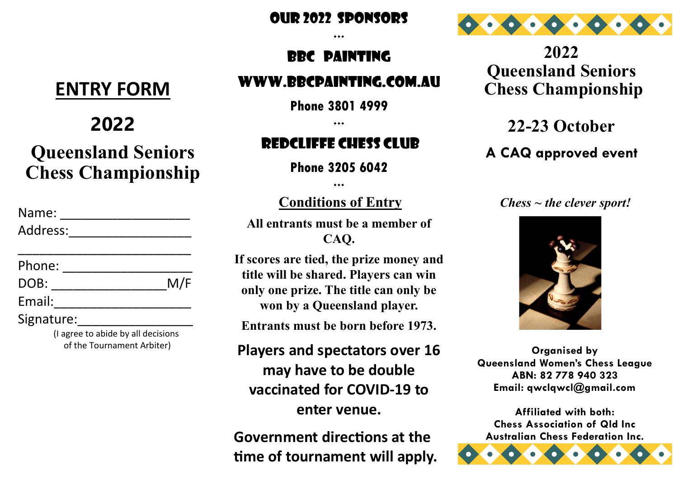## **ENTRY FORM**

# **2022**

## **Queensland Seniors Chess Championship**

| Name:      |     |
|------------|-----|
| Address:   |     |
| Phone:     |     |
| DOB:       | M/F |
| Email:     |     |
| Signature: |     |

 (I agree to abide by all decisions of the Tournament Arbiter)

#### Our 2022 sponsors

#### BBC painting

 $\cdots$ 

#### Www.bbcpainting.com.au

**Phone 3801 4999**

 $\cdots$ 

#### Redcliffe Chess Club

**Phone 3205 6042**

 $***$ 

**Conditions of Entry**

**All entrants must be a member of CAQ.** 

**If scores are tied, the prize money and title will be shared. Players can win only one prize. The title can only be won by a Queensland player.** 

**Entrants must be born before 1973.**

**Players and spectators over 16 may have to be double vaccinated for COVID-19 to enter venue.**

**Government directions at the time of tournament will apply.**



**2022 Queensland Seniors Chess Championship**

**22-23 October**

#### **A CAQ approved event**

#### *Chess ~ the clever sport!*



**Organised by Queensland Women's Chess League ABN: 82 778 940 323 Email: qwclqwcl@gmail.com**

**Affiliated with both: Chess Association of Qld Inc Australian Chess Federation Inc.**